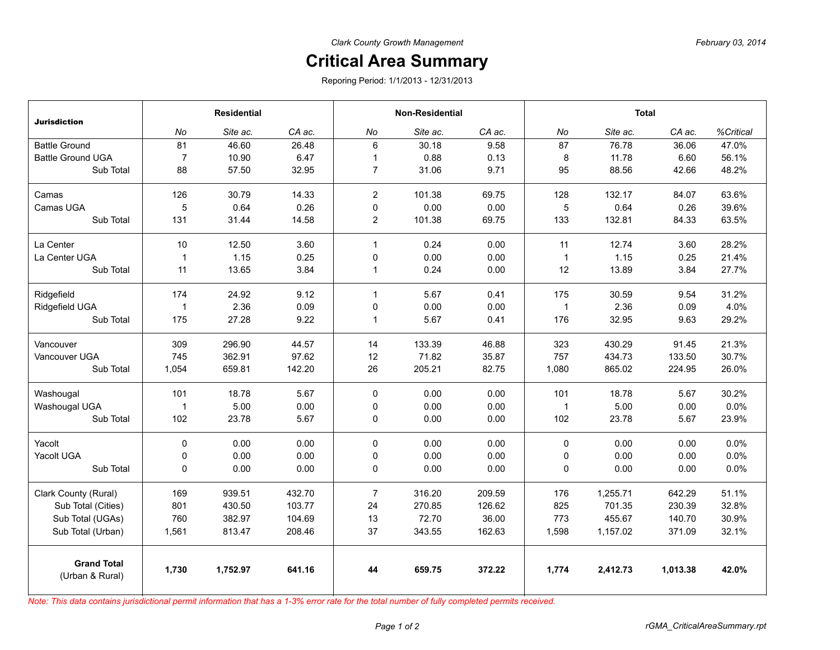## **Critical Area Summary**

Reporing Period: 1/1/2013 - 12/31/2013

| <b>Jurisdiction</b>                   | <b>Residential</b> |          |        | <b>Non-Residential</b> |          |        | <b>Total</b> |          |          |           |
|---------------------------------------|--------------------|----------|--------|------------------------|----------|--------|--------------|----------|----------|-----------|
|                                       | No                 | Site ac. | CA ac. | No                     | Site ac. | CA ac. | No           | Site ac. | CA ac.   | %Critical |
| <b>Battle Ground</b>                  | 81                 | 46.60    | 26.48  | 6                      | 30.18    | 9.58   | 87           | 76.78    | 36.06    | 47.0%     |
| <b>Battle Ground UGA</b>              | $\overline{7}$     | 10.90    | 6.47   | $\mathbf 1$            | 0.88     | 0.13   | 8            | 11.78    | 6.60     | 56.1%     |
| Sub Total                             | 88                 | 57.50    | 32.95  | $\overline{7}$         | 31.06    | 9.71   | 95           | 88.56    | 42.66    | 48.2%     |
| Camas                                 | 126                | 30.79    | 14.33  | $\overline{2}$         | 101.38   | 69.75  | 128          | 132.17   | 84.07    | 63.6%     |
| Camas UGA                             | 5                  | 0.64     | 0.26   | 0                      | 0.00     | 0.00   | 5            | 0.64     | 0.26     | 39.6%     |
| Sub Total                             | 131                | 31.44    | 14.58  | 2                      | 101.38   | 69.75  | 133          | 132.81   | 84.33    | 63.5%     |
| La Center                             | 10                 | 12.50    | 3.60   | $\mathbf{1}$           | 0.24     | 0.00   | 11           | 12.74    | 3.60     | 28.2%     |
| La Center UGA                         | 1                  | 1.15     | 0.25   | 0                      | 0.00     | 0.00   | $\mathbf{1}$ | 1.15     | 0.25     | 21.4%     |
| Sub Total                             | 11                 | 13.65    | 3.84   | $\mathbf{1}$           | 0.24     | 0.00   | 12           | 13.89    | 3.84     | 27.7%     |
| Ridgefield                            | 174                | 24.92    | 9.12   | $\mathbf{1}$           | 5.67     | 0.41   | 175          | 30.59    | 9.54     | 31.2%     |
| Ridgefield UGA                        | 1                  | 2.36     | 0.09   | 0                      | 0.00     | 0.00   | $\mathbf{1}$ | 2.36     | 0.09     | 4.0%      |
| Sub Total                             | 175                | 27.28    | 9.22   | $\mathbf{1}$           | 5.67     | 0.41   | 176          | 32.95    | 9.63     | 29.2%     |
| Vancouver                             | 309                | 296.90   | 44.57  | 14                     | 133.39   | 46.88  | 323          | 430.29   | 91.45    | 21.3%     |
| Vancouver UGA                         | 745                | 362.91   | 97.62  | 12                     | 71.82    | 35.87  | 757          | 434.73   | 133.50   | 30.7%     |
| Sub Total                             | 1,054              | 659.81   | 142.20 | 26                     | 205.21   | 82.75  | 1,080        | 865.02   | 224.95   | 26.0%     |
| Washougal                             | 101                | 18.78    | 5.67   | $\mathbf 0$            | 0.00     | 0.00   | 101          | 18.78    | 5.67     | 30.2%     |
| Washougal UGA                         | $\mathbf{1}$       | 5.00     | 0.00   | $\pmb{0}$              | 0.00     | 0.00   | 1            | 5.00     | 0.00     | 0.0%      |
| Sub Total                             | 102                | 23.78    | 5.67   | $\mathbf 0$            | 0.00     | 0.00   | 102          | 23.78    | 5.67     | 23.9%     |
| Yacolt                                | 0                  | 0.00     | 0.00   | $\mathbf 0$            | 0.00     | 0.00   | $\mathbf 0$  | 0.00     | 0.00     | 0.0%      |
| Yacolt UGA                            | 0                  | 0.00     | 0.00   | $\pmb{0}$              | 0.00     | 0.00   | 0            | 0.00     | 0.00     | 0.0%      |
| Sub Total                             | 0                  | 0.00     | 0.00   | 0                      | 0.00     | 0.00   | $\pmb{0}$    | 0.00     | 0.00     | 0.0%      |
| Clark County (Rural)                  | 169                | 939.51   | 432.70 | $\overline{7}$         | 316.20   | 209.59 | 176          | 1,255.71 | 642.29   | 51.1%     |
| Sub Total (Cities)                    | 801                | 430.50   | 103.77 | 24                     | 270.85   | 126.62 | 825          | 701.35   | 230.39   | 32.8%     |
| Sub Total (UGAs)                      | 760                | 382.97   | 104.69 | 13                     | 72.70    | 36.00  | 773          | 455.67   | 140.70   | 30.9%     |
| Sub Total (Urban)                     | 1,561              | 813.47   | 208.46 | 37                     | 343.55   | 162.63 | 1,598        | 1,157.02 | 371.09   | 32.1%     |
| <b>Grand Total</b><br>(Urban & Rural) | 1,730              | 1,752.97 | 641.16 | 44                     | 659.75   | 372.22 | 1,774        | 2,412.73 | 1,013.38 | 42.0%     |

*Note: This data contains jurisdictional permit information that has a 1-3% error rate for the total number of fully completed permits received.*